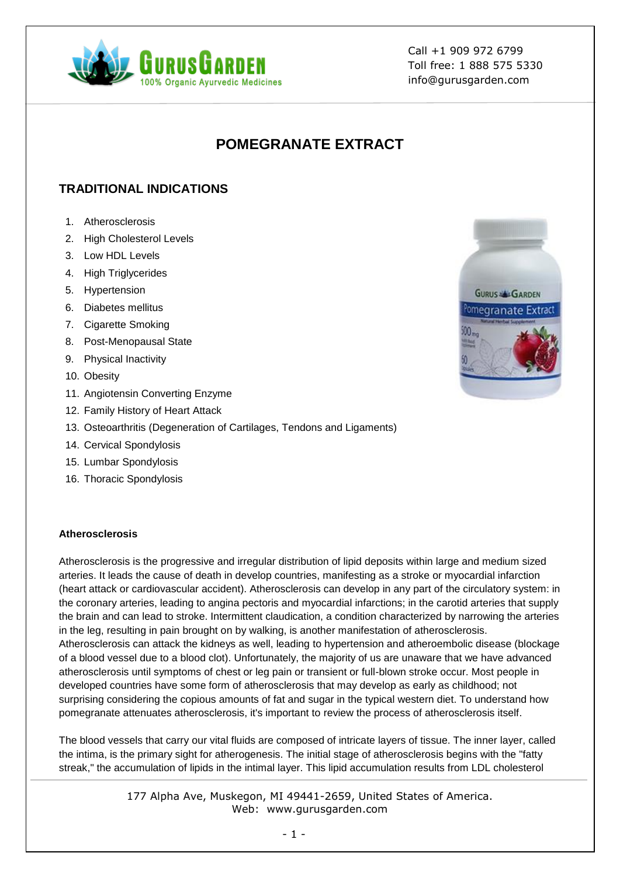

# **POMEGRANATE EXTRACT**

# **TRADITIONAL INDICATIONS**

- 1. Atherosclerosis
- 2. High Cholesterol Levels
- 3. Low HDL Levels
- 4. High Triglycerides
- 5. Hypertension
- 6. Diabetes mellitus
- 7. Cigarette Smoking
- 8. Post-Menopausal State
- 9. Physical Inactivity
- 10. Obesity
- 11. Angiotensin Converting Enzyme
- 12. Family History of Heart Attack
- 13. Osteoarthritis (Degeneration of Cartilages, Tendons and Ligaments)
- 14. Cervical Spondylosis
- 15. Lumbar Spondylosis
- 16. Thoracic Spondylosis

#### **Atherosclerosis**

Atherosclerosis is the progressive and irregular distribution of lipid deposits within large and medium sized arteries. It leads the cause of death in develop countries, manifesting as a stroke or myocardial infarction (heart attack or cardiovascular accident). Atherosclerosis can develop in any part of the circulatory system: in the coronary arteries, leading to angina pectoris and myocardial infarctions; in the carotid arteries that supply the brain and can lead to stroke. Intermittent claudication, a condition characterized by narrowing the arteries in the leg, resulting in pain brought on by walking, is another manifestation of atherosclerosis. Atherosclerosis can attack the kidneys as well, leading to hypertension and atheroembolic disease (blockage of a blood vessel due to a blood clot). Unfortunately, the majority of us are unaware that we have advanced atherosclerosis until symptoms of chest or leg pain or transient or full-blown stroke occur. Most people in developed countries have some form of atherosclerosis that may develop as early as childhood; not surprising considering the copious amounts of fat and sugar in the typical western diet. To understand how pomegranate attenuates atherosclerosis, it's important to review the process of atherosclerosis itself.

The blood vessels that carry our vital fluids are composed of intricate layers of tissue. The inner layer, called the intima, is the primary sight for atherogenesis. The initial stage of atherosclerosis begins with the "fatty streak," the accumulation of lipids in the intimal layer. This lipid accumulation results from LDL cholesterol

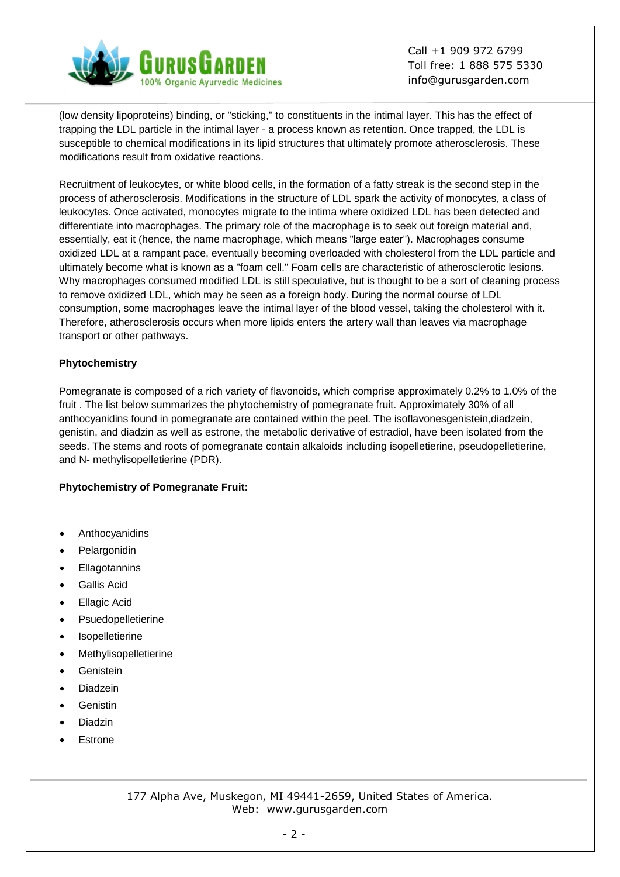

(low density lipoproteins) binding, or "sticking," to constituents in the intimal layer. This has the effect of trapping the LDL particle in the intimal layer - a process known as retention. Once trapped, the LDL is susceptible to chemical modifications in its lipid structures that ultimately promote atherosclerosis. These modifications result from oxidative reactions.

Recruitment of leukocytes, or white blood cells, in the formation of a fatty streak is the second step in the process of atherosclerosis. Modifications in the structure of LDL spark the activity of monocytes, a class of leukocytes. Once activated, monocytes migrate to the intima where oxidized LDL has been detected and differentiate into macrophages. The primary role of the macrophage is to seek out foreign material and, essentially, eat it (hence, the name macrophage, which means "large eater"). Macrophages consume oxidized LDL at a rampant pace, eventually becoming overloaded with cholesterol from the LDL particle and ultimately become what is known as a "foam cell." Foam cells are characteristic of atherosclerotic lesions. Why macrophages consumed modified LDL is still speculative, but is thought to be a sort of cleaning process to remove oxidized LDL, which may be seen as a foreign body. During the normal course of LDL consumption, some macrophages leave the intimal layer of the blood vessel, taking the cholesterol with it. Therefore, atherosclerosis occurs when more lipids enters the artery wall than leaves via macrophage transport or other pathways.

### **Phytochemistry**

Pomegranate is composed of a rich variety of flavonoids, which comprise approximately 0.2% to 1.0% of the fruit . The list below summarizes the phytochemistry of pomegranate fruit. Approximately 30% of all anthocyanidins found in pomegranate are contained within the peel. The isoflavonesgenistein,diadzein, genistin, and diadzin as well as estrone, the metabolic derivative of estradiol, have been isolated from the seeds. The stems and roots of pomegranate contain alkaloids including isopelletierine, pseudopelletierine, and N- methylisopelletierine (PDR).

#### **Phytochemistry of Pomegranate Fruit:**

- Anthocyanidins
- Pelargonidin
- **Ellagotannins**
- Gallis Acid
- Ellagic Acid
- Psuedopelletierine
- Isopelletierine
- Methylisopelletierine
- Genistein
- Diadzein
- Genistin
- Diadzin
- Estrone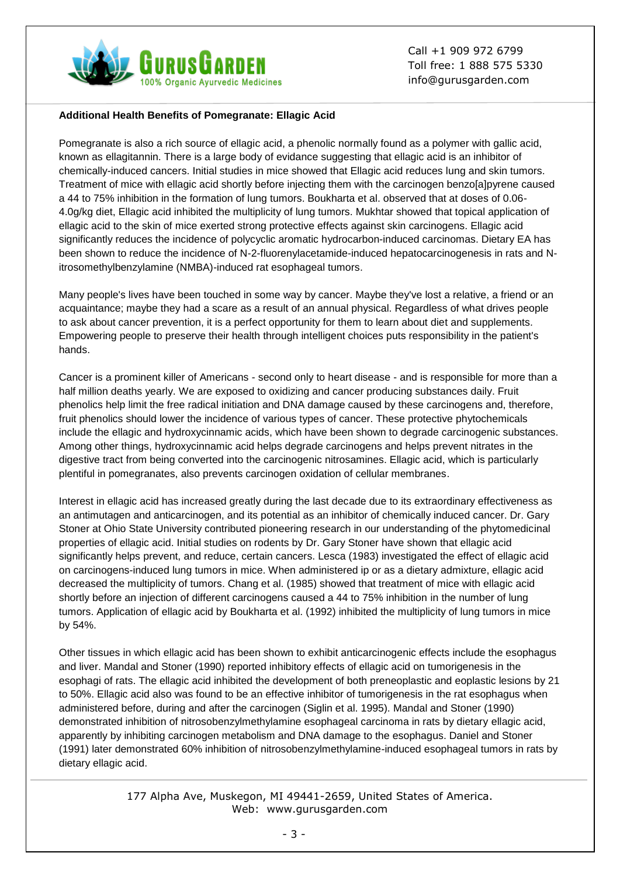

#### **Additional Health Benefits of Pomegranate: Ellagic Acid**

Pomegranate is also a rich source of ellagic acid, a phenolic normally found as a polymer with gallic acid, known as ellagitannin. There is a large body of evidance suggesting that ellagic acid is an inhibitor of chemically-induced cancers. Initial studies in mice showed that Ellagic acid reduces lung and skin tumors. Treatment of mice with ellagic acid shortly before injecting them with the carcinogen benzo[a]pyrene caused a 44 to 75% inhibition in the formation of lung tumors. Boukharta et al. observed that at doses of 0.06- 4.0g/kg diet, Ellagic acid inhibited the multiplicity of lung tumors. Mukhtar showed that topical application of ellagic acid to the skin of mice exerted strong protective effects against skin carcinogens. Ellagic acid significantly reduces the incidence of polycyclic aromatic hydrocarbon-induced carcinomas. Dietary EA has been shown to reduce the incidence of N-2-fluorenylacetamide-induced hepatocarcinogenesis in rats and Nitrosomethylbenzylamine (NMBA)-induced rat esophageal tumors.

Many people's lives have been touched in some way by cancer. Maybe they've lost a relative, a friend or an acquaintance; maybe they had a scare as a result of an annual physical. Regardless of what drives people to ask about cancer prevention, it is a perfect opportunity for them to learn about diet and supplements. Empowering people to preserve their health through intelligent choices puts responsibility in the patient's hands.

Cancer is a prominent killer of Americans - second only to heart disease - and is responsible for more than a half million deaths yearly. We are exposed to oxidizing and cancer producing substances daily. Fruit phenolics help limit the free radical initiation and DNA damage caused by these carcinogens and, therefore, fruit phenolics should lower the incidence of various types of cancer. These protective phytochemicals include the ellagic and hydroxycinnamic acids, which have been shown to degrade carcinogenic substances. Among other things, hydroxycinnamic acid helps degrade carcinogens and helps prevent nitrates in the digestive tract from being converted into the carcinogenic nitrosamines. Ellagic acid, which is particularly plentiful in pomegranates, also prevents carcinogen oxidation of cellular membranes.

Interest in ellagic acid has increased greatly during the last decade due to its extraordinary effectiveness as an antimutagen and anticarcinogen, and its potential as an inhibitor of chemically induced cancer. Dr. Gary Stoner at Ohio State University contributed pioneering research in our understanding of the phytomedicinal properties of ellagic acid. Initial studies on rodents by Dr. Gary Stoner have shown that ellagic acid significantly helps prevent, and reduce, certain cancers. Lesca (1983) investigated the effect of ellagic acid on carcinogens-induced lung tumors in mice. When administered ip or as a dietary admixture, ellagic acid decreased the multiplicity of tumors. Chang et al. (1985) showed that treatment of mice with ellagic acid shortly before an injection of different carcinogens caused a 44 to 75% inhibition in the number of lung tumors. Application of ellagic acid by Boukharta et al. (1992) inhibited the multiplicity of lung tumors in mice by 54%.

Other tissues in which ellagic acid has been shown to exhibit anticarcinogenic effects include the esophagus and liver. Mandal and Stoner (1990) reported inhibitory effects of ellagic acid on tumorigenesis in the esophagi of rats. The ellagic acid inhibited the development of both preneoplastic and eoplastic lesions by 21 to 50%. Ellagic acid also was found to be an effective inhibitor of tumorigenesis in the rat esophagus when administered before, during and after the carcinogen (Siglin et al. 1995). Mandal and Stoner (1990) demonstrated inhibition of nitrosobenzylmethylamine esophageal carcinoma in rats by dietary ellagic acid, apparently by inhibiting carcinogen metabolism and DNA damage to the esophagus. Daniel and Stoner (1991) later demonstrated 60% inhibition of nitrosobenzylmethylamine-induced esophageal tumors in rats by dietary ellagic acid.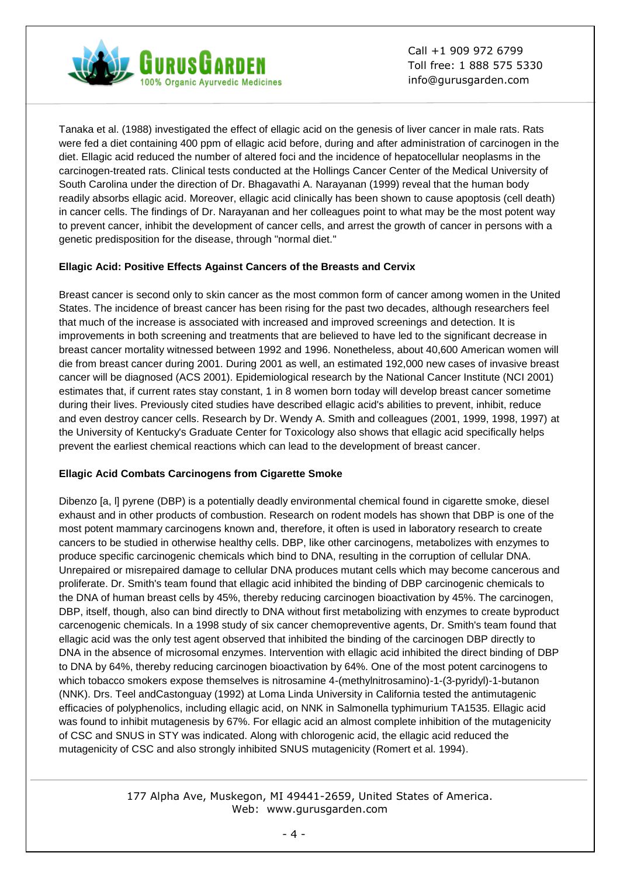

Tanaka et al. (1988) investigated the effect of ellagic acid on the genesis of liver cancer in male rats. Rats were fed a diet containing 400 ppm of ellagic acid before, during and after administration of carcinogen in the diet. Ellagic acid reduced the number of altered foci and the incidence of hepatocellular neoplasms in the carcinogen-treated rats. Clinical tests conducted at the Hollings Cancer Center of the Medical University of South Carolina under the direction of Dr. Bhagavathi A. Narayanan (1999) reveal that the human body readily absorbs ellagic acid. Moreover, ellagic acid clinically has been shown to cause apoptosis (cell death) in cancer cells. The findings of Dr. Narayanan and her colleagues point to what may be the most potent way to prevent cancer, inhibit the development of cancer cells, and arrest the growth of cancer in persons with a genetic predisposition for the disease, through "normal diet."

### **Ellagic Acid: Positive Effects Against Cancers of the Breasts and Cervix**

Breast cancer is second only to skin cancer as the most common form of cancer among women in the United States. The incidence of breast cancer has been rising for the past two decades, although researchers feel that much of the increase is associated with increased and improved screenings and detection. It is improvements in both screening and treatments that are believed to have led to the significant decrease in breast cancer mortality witnessed between 1992 and 1996. Nonetheless, about 40,600 American women will die from breast cancer during 2001. During 2001 as well, an estimated 192,000 new cases of invasive breast cancer will be diagnosed (ACS 2001). Epidemiological research by the National Cancer Institute (NCI 2001) estimates that, if current rates stay constant, 1 in 8 women born today will develop breast cancer sometime during their lives. Previously cited studies have described ellagic acid's abilities to prevent, inhibit, reduce and even destroy cancer cells. Research by Dr. Wendy A. Smith and colleagues (2001, 1999, 1998, 1997) at the University of Kentucky's Graduate Center for Toxicology also shows that ellagic acid specifically helps prevent the earliest chemical reactions which can lead to the development of breast cancer.

## **Ellagic Acid Combats Carcinogens from Cigarette Smoke**

Dibenzo [a, l] pyrene (DBP) is a potentially deadly environmental chemical found in cigarette smoke, diesel exhaust and in other products of combustion. Research on rodent models has shown that DBP is one of the most potent mammary carcinogens known and, therefore, it often is used in laboratory research to create cancers to be studied in otherwise healthy cells. DBP, like other carcinogens, metabolizes with enzymes to produce specific carcinogenic chemicals which bind to DNA, resulting in the corruption of cellular DNA. Unrepaired or misrepaired damage to cellular DNA produces mutant cells which may become cancerous and proliferate. Dr. Smith's team found that ellagic acid inhibited the binding of DBP carcinogenic chemicals to the DNA of human breast cells by 45%, thereby reducing carcinogen bioactivation by 45%. The carcinogen, DBP, itself, though, also can bind directly to DNA without first metabolizing with enzymes to create byproduct carcenogenic chemicals. In a 1998 study of six cancer chemopreventive agents, Dr. Smith's team found that ellagic acid was the only test agent observed that inhibited the binding of the carcinogen DBP directly to DNA in the absence of microsomal enzymes. Intervention with ellagic acid inhibited the direct binding of DBP to DNA by 64%, thereby reducing carcinogen bioactivation by 64%. One of the most potent carcinogens to which tobacco smokers expose themselves is nitrosamine 4-(methylnitrosamino)-1-(3-pyridyl)-1-butanon (NNK). Drs. Teel andCastonguay (1992) at Loma Linda University in California tested the antimutagenic efficacies of polyphenolics, including ellagic acid, on NNK in Salmonella typhimurium TA1535. Ellagic acid was found to inhibit mutagenesis by 67%. For ellagic acid an almost complete inhibition of the mutagenicity of CSC and SNUS in STY was indicated. Along with chlorogenic acid, the ellagic acid reduced the mutagenicity of CSC and also strongly inhibited SNUS mutagenicity (Romert et al. 1994).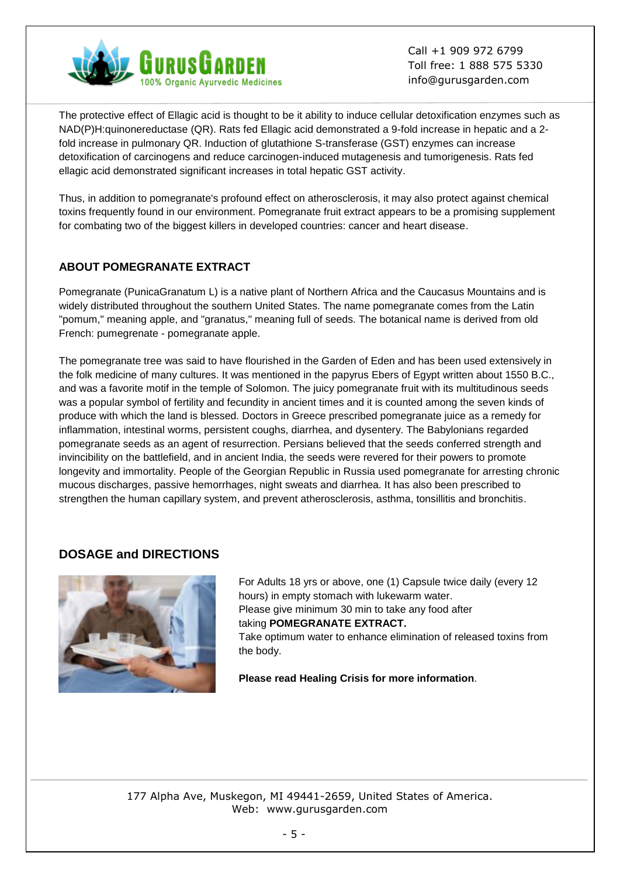

The protective effect of Ellagic acid is thought to be it ability to induce cellular detoxification enzymes such as NAD(P)H:quinonereductase (QR). Rats fed Ellagic acid demonstrated a 9-fold increase in hepatic and a 2 fold increase in pulmonary QR. Induction of glutathione S-transferase (GST) enzymes can increase detoxification of carcinogens and reduce carcinogen-induced mutagenesis and tumorigenesis. Rats fed ellagic acid demonstrated significant increases in total hepatic GST activity.

Thus, in addition to pomegranate's profound effect on atherosclerosis, it may also protect against chemical toxins frequently found in our environment. Pomegranate fruit extract appears to be a promising supplement for combating two of the biggest killers in developed countries: cancer and heart disease.

# **ABOUT POMEGRANATE EXTRACT**

Pomegranate (PunicaGranatum L) is a native plant of Northern Africa and the Caucasus Mountains and is widely distributed throughout the southern United States. The name pomegranate comes from the Latin "pomum," meaning apple, and "granatus," meaning full of seeds. The botanical name is derived from old French: pumegrenate - pomegranate apple.

The pomegranate tree was said to have flourished in the Garden of Eden and has been used extensively in the folk medicine of many cultures. It was mentioned in the papyrus Ebers of Egypt written about 1550 B.C., and was a favorite motif in the temple of Solomon. The juicy pomegranate fruit with its multitudinous seeds was a popular symbol of fertility and fecundity in ancient times and it is counted among the seven kinds of produce with which the land is blessed. Doctors in Greece prescribed pomegranate juice as a remedy for inflammation, intestinal worms, persistent coughs, diarrhea, and dysentery. The Babylonians regarded pomegranate seeds as an agent of resurrection. Persians believed that the seeds conferred strength and invincibility on the battlefield, and in ancient India, the seeds were revered for their powers to promote longevity and immortality. People of the Georgian Republic in Russia used pomegranate for arresting chronic mucous discharges, passive hemorrhages, night sweats and diarrhea. It has also been prescribed to strengthen the human capillary system, and prevent atherosclerosis, asthma, tonsillitis and bronchitis.

# **DOSAGE and DIRECTIONS**



For Adults 18 yrs or above, one (1) Capsule twice daily (every 12 hours) in empty stomach with lukewarm water. Please give minimum 30 min to take any food after taking **POMEGRANATE EXTRACT.** Take optimum water to enhance elimination of released toxins from the body.

**Please read Healing Crisis for more information**.